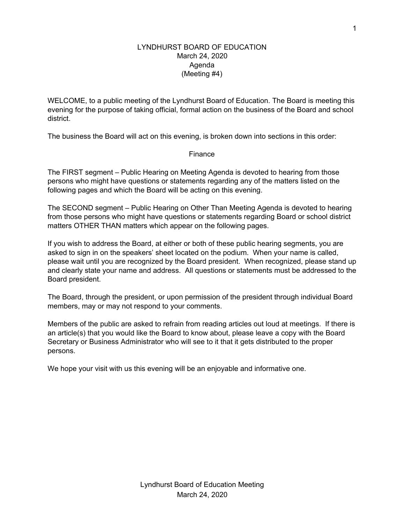## LYNDHURST BOARD OF EDUCATION March 24, 2020 Agenda (Meeting #4)

WELCOME, to a public meeting of the Lyndhurst Board of Education. The Board is meeting this evening for the purpose of taking official, formal action on the business of the Board and school district.

The business the Board will act on this evening, is broken down into sections in this order:

## Finance

The FIRST segment – Public Hearing on Meeting Agenda is devoted to hearing from those persons who might have questions or statements regarding any of the matters listed on the following pages and which the Board will be acting on this evening.

The SECOND segment – Public Hearing on Other Than Meeting Agenda is devoted to hearing from those persons who might have questions or statements regarding Board or school district matters OTHER THAN matters which appear on the following pages.

If you wish to address the Board, at either or both of these public hearing segments, you are asked to sign in on the speakers' sheet located on the podium. When your name is called, please wait until you are recognized by the Board president. When recognized, please stand up and clearly state your name and address. All questions or statements must be addressed to the Board president.

The Board, through the president, or upon permission of the president through individual Board members, may or may not respond to your comments.

Members of the public are asked to refrain from reading articles out loud at meetings. If there is an article(s) that you would like the Board to know about, please leave a copy with the Board Secretary or Business Administrator who will see to it that it gets distributed to the proper persons.

We hope your visit with us this evening will be an enjoyable and informative one.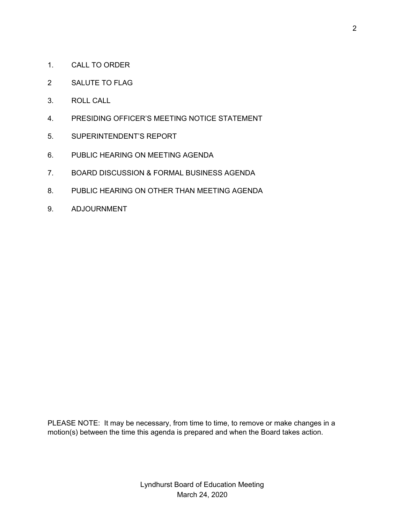- 1. CALL TO ORDER
- 2 SALUTE TO FLAG
- 3. ROLL CALL
- 4. PRESIDING OFFICER'S MEETING NOTICE STATEMENT
- 5. SUPERINTENDENT'S REPORT
- 6. PUBLIC HEARING ON MEETING AGENDA
- 7. BOARD DISCUSSION & FORMAL BUSINESS AGENDA
- 8. PUBLIC HEARING ON OTHER THAN MEETING AGENDA
- 9. ADJOURNMENT

PLEASE NOTE: It may be necessary, from time to time, to remove or make changes in a motion(s) between the time this agenda is prepared and when the Board takes action.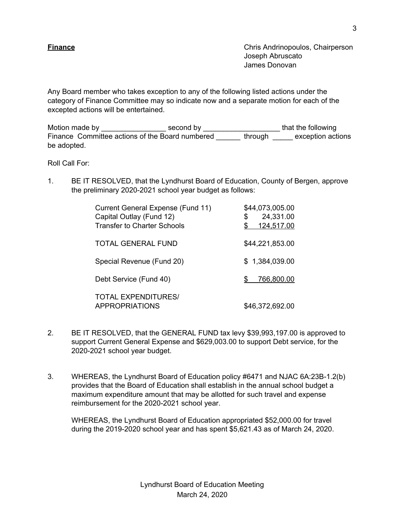**Finance** Chris Andrinopoulos, Chairperson Joseph Abruscato James Donovan

Any Board member who takes exception to any of the following listed actions under the category of Finance Committee may so indicate now and a separate motion for each of the excepted actions will be entertained.

Motion made by \_\_\_\_\_\_\_\_\_\_\_\_\_\_\_\_\_\_\_\_\_\_ second by \_\_\_\_\_\_\_\_\_\_\_\_\_\_\_\_\_\_\_\_\_\_\_\_\_\_\_that the following Finance Committee actions of the Board numbered \_\_\_\_\_\_ through \_\_\_\_\_ exception actions be adopted.

Roll Call For:

1. BE IT RESOLVED, that the Lyndhurst Board of Education, County of Bergen, approve the preliminary 2020-2021 school year budget as follows:

| Current General Expense (Fund 11)<br>Capital Outlay (Fund 12)<br><b>Transfer to Charter Schools</b> | \$44,073,005.00<br>24,331.00<br>\$<br>124,517.00<br>S |
|-----------------------------------------------------------------------------------------------------|-------------------------------------------------------|
| TOTAL GENERAL FUND                                                                                  | \$44,221,853.00                                       |
| Special Revenue (Fund 20)                                                                           | \$1,384,039.00                                        |
| Debt Service (Fund 40)                                                                              | 766,800.00<br>S.                                      |
| <b>TOTAL EXPENDITURES/</b><br><b>APPROPRIATIONS</b>                                                 | \$46,372,692.00                                       |

- 2. BE IT RESOLVED, that the GENERAL FUND tax levy \$39,993,197.00 is approved to support Current General Expense and \$629,003.00 to support Debt service, for the 2020-2021 school year budget.
- 3. WHEREAS, the Lyndhurst Board of Education policy #6471 and NJAC 6A:23B-1.2(b) provides that the Board of Education shall establish in the annual school budget a maximum expenditure amount that may be allotted for such travel and expense reimbursement for the 2020-2021 school year.

WHEREAS, the Lyndhurst Board of Education appropriated \$52,000.00 for travel during the 2019-2020 school year and has spent \$5,621.43 as of March 24, 2020.